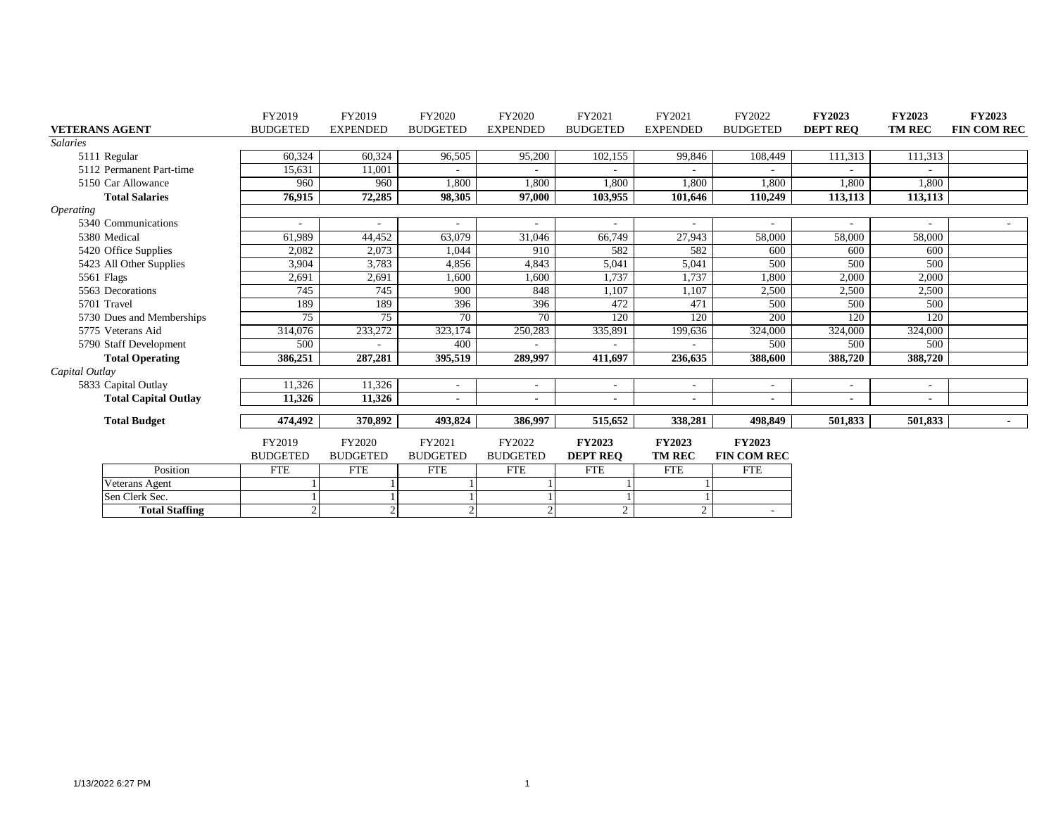|                             |                       | FY2019          | FY2019          | FY2020                   | FY2020                   | FY2021                   | FY2021                   | FY2022                   | <b>FY2023</b>            | <b>FY2023</b>  | <b>FY2023</b>      |
|-----------------------------|-----------------------|-----------------|-----------------|--------------------------|--------------------------|--------------------------|--------------------------|--------------------------|--------------------------|----------------|--------------------|
| <b>VETERANS AGENT</b>       |                       | <b>BUDGETED</b> | <b>EXPENDED</b> | <b>BUDGETED</b>          | <b>EXPENDED</b>          | <b>BUDGETED</b>          | <b>EXPENDED</b>          | <b>BUDGETED</b>          | <b>DEPT REO</b>          | <b>TM REC</b>  | <b>FIN COM REC</b> |
| <b>Salaries</b>             |                       |                 |                 |                          |                          |                          |                          |                          |                          |                |                    |
| 5111 Regular                |                       | 60,324          | 60,324          | 96,505                   | 95,200                   | 102,155                  | 99,846                   | 108,449                  | 111,313                  | 111,313        |                    |
| 5112 Permanent Part-time    |                       | 15,631          | 11,001          |                          |                          |                          |                          |                          |                          |                |                    |
| 5150 Car Allowance          |                       | 960             | 960             | 1,800                    | 1,800                    | 1,800                    | 1,800                    | 1,800                    | 1,800                    | 1,800          |                    |
| <b>Total Salaries</b>       |                       | 76.915          | 72,285          | 98,305                   | 97,000                   | 103,955                  | 101.646                  | 110,249                  | 113,113                  | 113,113        |                    |
| <i><b>Operating</b></i>     |                       |                 |                 |                          |                          |                          |                          |                          |                          |                |                    |
| 5340 Communications         |                       |                 |                 |                          |                          |                          |                          |                          | ٠                        |                | $\sim$             |
| 5380 Medical                |                       | 61,989          | 44,452          | 63,079                   | 31,046                   | 66,749                   | 27,943                   | 58,000                   | 58,000                   | 58,000         |                    |
| 5420 Office Supplies        |                       | 2,082           | 2,073           | 1,044                    | 910                      | 582                      | 582                      | 600                      | 600                      | 600            |                    |
| 5423 All Other Supplies     |                       | 3,904           | 3.783           | 4,856                    | 4,843                    | 5,041                    | 5,041                    | 500                      | 500                      | 500            |                    |
| 5561 Flags                  |                       | 2,691           | 2,691           | 1,600                    | 1,600                    | 1,737                    | 1,737                    | 1,800                    | 2,000                    | 2,000          |                    |
| 5563 Decorations            |                       | 745             | 745             | 900                      | 848                      | 1,107                    | 1,107                    | 2,500                    | 2,500                    | 2,500          |                    |
| 5701 Travel                 |                       | 189             | 189             | 396                      | 396                      | 472                      | 471                      | 500                      | 500                      | 500            |                    |
| 5730 Dues and Memberships   |                       | $\overline{75}$ | 75              | 70                       | 70                       | 120                      | 120                      | 200                      | 120                      | 120            |                    |
| 5775 Veterans Aid           |                       | 314,076         | 233,272         | 323,174                  | 250,283                  | 335,891                  | 199,636                  | 324,000                  | 324,000                  | 324,000        |                    |
| 5790 Staff Development      |                       | 500             |                 | 400                      |                          |                          |                          | 500                      | 500                      | 500            |                    |
| <b>Total Operating</b>      |                       | 386,251         | 287,281         | 395,519                  | 289,997                  | 411.697                  | 236,635                  | 388,600                  | 388,720                  | 388,720        |                    |
| Capital Outlay              |                       |                 |                 |                          |                          |                          |                          |                          |                          |                |                    |
| 5833 Capital Outlay         |                       | 11,326          | 11,326          | $\overline{\phantom{a}}$ | $\overline{\phantom{a}}$ | $\overline{\phantom{a}}$ | $\overline{\phantom{a}}$ | $\overline{\phantom{a}}$ | $\overline{\phantom{0}}$ | ٠              |                    |
| <b>Total Capital Outlay</b> |                       | 11,326          | 11,326          | $\blacksquare$           | $\blacksquare$           | $\blacksquare$           | $\blacksquare$           | $\blacksquare$           | $\blacksquare$           | $\blacksquare$ |                    |
|                             |                       |                 |                 |                          |                          |                          |                          |                          |                          |                |                    |
| <b>Total Budget</b>         |                       | 474,492         | 370,892         | 493,824                  | 386,997                  | 515,652                  | 338,281                  | 498,849                  | 501,833                  | 501,833        | $\blacksquare$     |
|                             |                       | FY2019          | FY2020          | FY2021                   | FY2022                   | <b>FY2023</b>            | <b>FY2023</b>            | <b>FY2023</b>            |                          |                |                    |
|                             |                       | <b>BUDGETED</b> | <b>BUDGETED</b> | <b>BUDGETED</b>          | <b>BUDGETED</b>          | <b>DEPT REO</b>          | <b>TM REC</b>            | <b>FIN COM REC</b>       |                          |                |                    |
|                             | Position              | <b>FTE</b>      | <b>FTE</b>      | <b>FTE</b>               | <b>FTE</b>               | <b>FTE</b>               | <b>FTE</b>               | <b>FTE</b>               |                          |                |                    |
| Veterans Agent              |                       |                 |                 |                          |                          |                          |                          |                          |                          |                |                    |
| Sen Clerk Sec.              |                       |                 |                 |                          |                          |                          |                          |                          |                          |                |                    |
|                             | <b>Total Staffing</b> | $\overline{2}$  | $\overline{2}$  | $\overline{c}$           | $\overline{2}$           | 2                        | 2                        | $\overline{\phantom{a}}$ |                          |                |                    |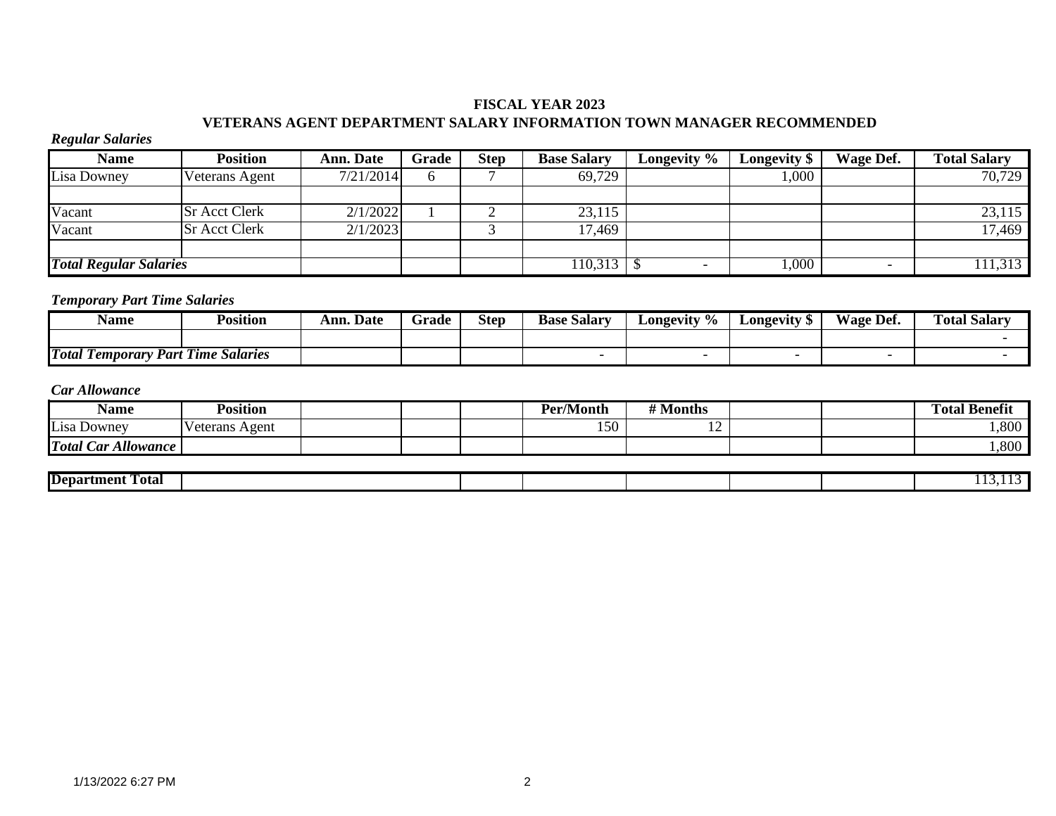# **FISCAL YEAR 2023 VETERANS AGENT DEPARTMENT SALARY INFORMATION TOWN MANAGER RECOMMENDED**

#### *Regular Salaries*

| <b>Name</b>                   | Position             | <b>Ann. Date</b> | Grade | <b>Step</b> | <b>Base Salary</b> | Longevity % | Longevity \$ | Wage Def.                | <b>Total Salary</b> |
|-------------------------------|----------------------|------------------|-------|-------------|--------------------|-------------|--------------|--------------------------|---------------------|
| Lisa Downey                   | Veterans Agent       | 7/21/2014        |       |             | 69,729             |             | 000,1        |                          | 70,729              |
|                               |                      |                  |       |             |                    |             |              |                          |                     |
| Vacant                        | <b>Sr Acct Clerk</b> | 2/1/2022         |       |             | 23,115             |             |              |                          | 23,115              |
| Vacant                        | <b>Sr Acct Clerk</b> | 2/1/2023         |       |             | 17,469             |             |              |                          | 17,469              |
|                               |                      |                  |       |             |                    |             |              |                          |                     |
| <b>Total Regular Salaries</b> |                      |                  |       |             | 110,313            |             | 1,000        | $\overline{\phantom{0}}$ | 111,313             |

# *Temporary Part Time Salaries*

| <b>Name</b>                                             | Position                               | . Date<br>Ann. | $\sim$<br>Grade | <b>Step</b> | $\sim$<br>. Salarv<br>Base | Longevity<br>$\frac{9}{6}$ | Longevity<br>AD. | Wage Def. | . .<br><b>Fotal Salary</b> |
|---------------------------------------------------------|----------------------------------------|----------------|-----------------|-------------|----------------------------|----------------------------|------------------|-----------|----------------------------|
|                                                         |                                        |                |                 |             |                            |                            |                  |           |                            |
| <b>Total</b><br>. .<br><b>Part</b><br><i>l</i> emporary | <b>1899</b><br><b>Salaries</b><br>Time |                |                 |             |                            |                            |                  |           |                            |

| Name                                           | Position          |  | <b>Per/Month</b> | <i><b>II 1 4</b></i><br>Months |  | $\mathbf{r}$<br>m<br>l'otal<br>-Benefit |
|------------------------------------------------|-------------------|--|------------------|--------------------------------|--|-----------------------------------------|
| Lisa Downey                                    | Agent<br>'eterans |  | 150              | --                             |  | 1,800                                   |
| <b>Total</b><br><i><b>Allowance</b></i><br>ar. |                   |  |                  |                                |  | 1,800                                   |

| Total<br>Department<br>. |  |  |  |  |
|--------------------------|--|--|--|--|
|                          |  |  |  |  |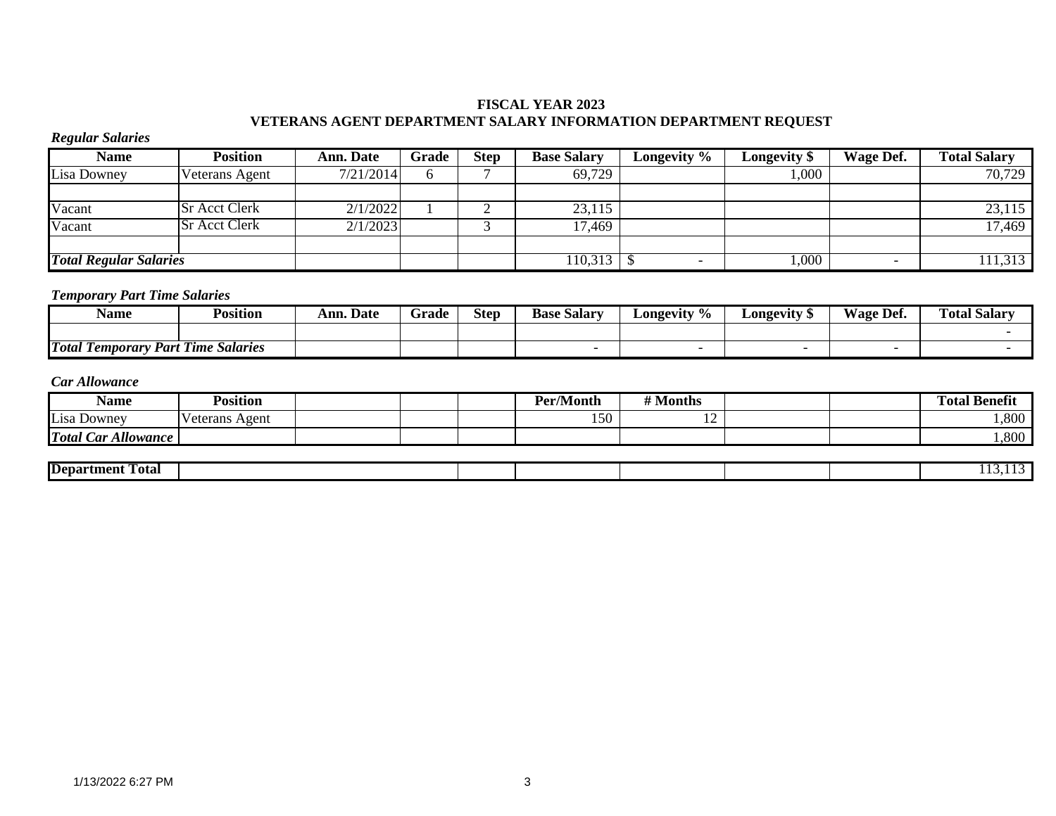# **FISCAL YEAR 2023 VETERANS AGENT DEPARTMENT SALARY INFORMATION DEPARTMENT REQUEST**

# *Regular Salaries*

| <b>Name</b>                   | Position             | Ann. Date | Grade | Step | <b>Base Salary</b> | Longevity % | <b>Longevity</b> \$ | Wage Def. | <b>Total Salary</b> |
|-------------------------------|----------------------|-----------|-------|------|--------------------|-------------|---------------------|-----------|---------------------|
| Lisa Downey                   | Veterans Agent       | 7/21/2014 |       |      | 69,729             |             | 000.                |           | 70,729              |
|                               |                      |           |       |      |                    |             |                     |           |                     |
| Vacant                        | <b>Sr Acct Clerk</b> | 2/1/2022  |       |      | 23,115             |             |                     |           | 23,115              |
| Vacant                        | <b>Sr Acct Clerk</b> | 2/1/2023  |       |      | 17,469             |             |                     |           | 17,469              |
|                               |                      |           |       |      |                    |             |                     |           |                     |
| <b>Total Regular Salaries</b> |                      |           |       |      | 110,313            |             | $\overline{000}$    |           | 111,313             |

# *Temporary Part Time Salaries*

| Name                                                   | $\cdot\cdot$<br>∽.<br>Position           | <b>Ann. Date</b> | Grade | <b>Step</b> | <b>Base</b><br>Salarv | Longevity % | Longevity * | Wage.<br>Def. | <b>Total Salary</b> |
|--------------------------------------------------------|------------------------------------------|------------------|-------|-------------|-----------------------|-------------|-------------|---------------|---------------------|
|                                                        |                                          |                  |       |             |                       |             |             |               |                     |
| <b>Total</b><br>. .<br>Part<br><b><i>Lemporary</i></b> | $\mathbf{r}$<br>l'ime<br><b>Salaries</b> |                  |       |             |                       |             |             |               |                     |

| Name                   | $\cdot \cdot$<br>Position |  | <b>Per/Month</b>    | Months |  | ' Benefi<br>—<br>otal' |
|------------------------|---------------------------|--|---------------------|--------|--|------------------------|
| Lisa Downey            | Veterans<br>Agent         |  | $\epsilon$<br>1 J V | ∸      |  | 1,800                  |
| Allowance<br>Total Car |                           |  |                     |        |  | 1,800                  |

| --<br>--<br>Fotal<br><b> Department</b> |  |  |  |  |
|-----------------------------------------|--|--|--|--|
|                                         |  |  |  |  |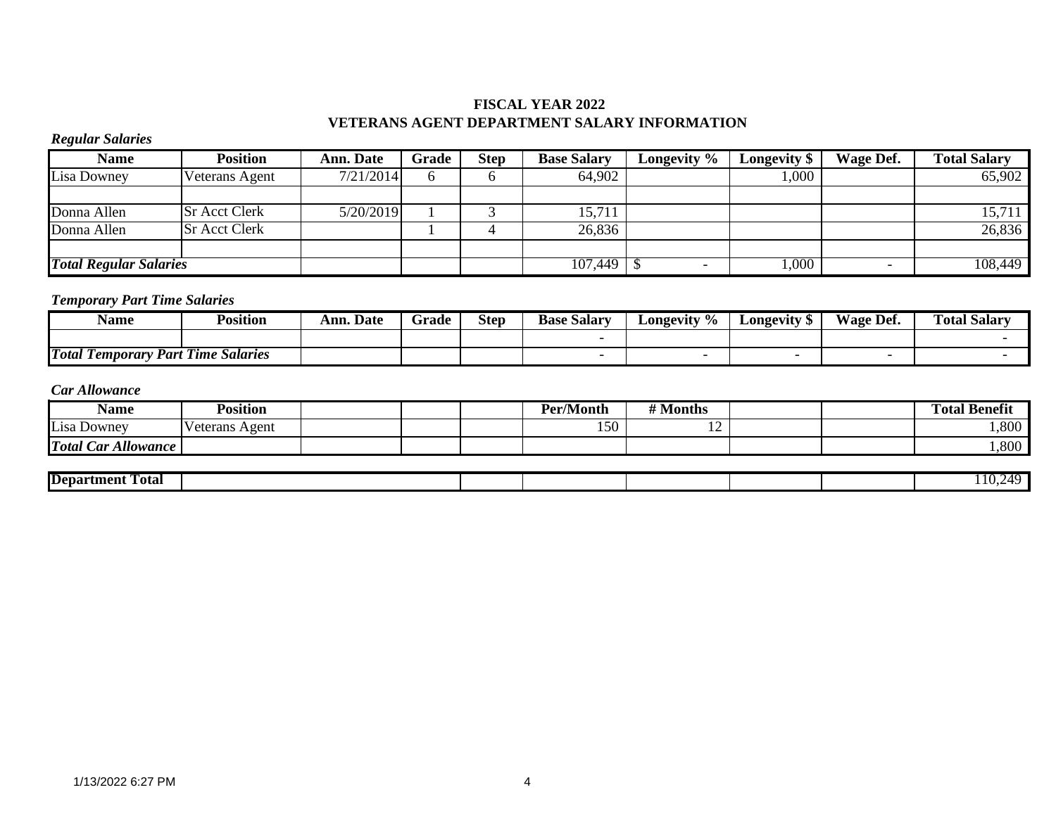# **FISCAL YEAR 2022 VETERANS AGENT DEPARTMENT SALARY INFORMATION**

# *Regular Salaries*

| <b>Name</b>                   | <b>Position</b>      | <b>Ann. Date</b> | Grade | <b>Step</b> | <b>Base Salary</b> | Longevity % | <b>Longevity</b> \$ | Wage Def. | <b>Total Salary</b> |
|-------------------------------|----------------------|------------------|-------|-------------|--------------------|-------------|---------------------|-----------|---------------------|
| Lisa Downey                   | Veterans Agent       | 7/21/2014        |       |             | 64,902             |             | $.000$ .            |           | 65,902              |
|                               |                      |                  |       |             |                    |             |                     |           |                     |
| Donna Allen                   | <b>Sr Acct Clerk</b> | 5/20/2019        |       |             | 15,711             |             |                     |           | 15,711              |
| Donna Allen                   | <b>Sr Acct Clerk</b> |                  |       |             | 26,836             |             |                     |           | 26,836              |
|                               |                      |                  |       |             |                    |             |                     |           |                     |
| <b>Total Regular Salaries</b> |                      |                  |       |             | 107,449            |             | 000                 |           | 108,449             |

# *Temporary Part Time Salaries*

| Name                                    | Position                   | . Date<br>Ann. | $\sim$<br>Grade | <b>Step</b> | $\sim$<br>Base<br>: Salary | $\mathcal{L}$ ongevity % | <b>LONGEVITY</b> | T T<br>Det.<br>Wage | <b>fotal Salary</b> |
|-----------------------------------------|----------------------------|----------------|-----------------|-------------|----------------------------|--------------------------|------------------|---------------------|---------------------|
|                                         |                            |                |                 |             |                            |                          |                  |                     |                     |
| <b>Total</b><br>.<br>Part<br>l'emporary | $\sim$<br>Salaries<br>Time |                |                 |             |                            |                          |                  |                     |                     |

| Name                          | <b>Position</b>   |  | <b>Per/Month</b> | <sup>4</sup> Months |  | <sup>1</sup> Benefit<br>Total. |
|-------------------------------|-------------------|--|------------------|---------------------|--|--------------------------------|
| Lisa Downey                   | Veterans<br>Agent |  | 150              | . .                 |  | ,800                           |
| <b>Allowance</b><br>Total Car |                   |  |                  |                     |  | ,800                           |

| <b>Department</b><br>rotal - |  |  |  | $\mathbf{u}$ |
|------------------------------|--|--|--|--------------|
|                              |  |  |  |              |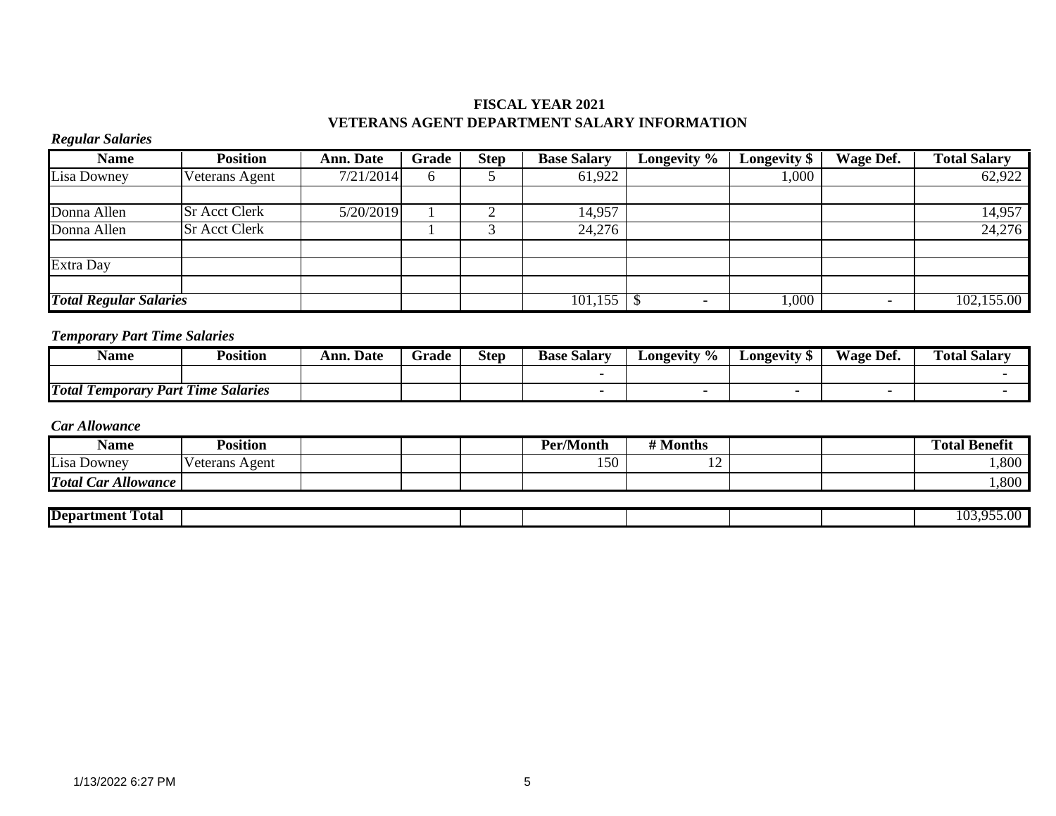# **FISCAL YEAR 2021 VETERANS AGENT DEPARTMENT SALARY INFORMATION**

# *Regular Salaries*

| <b>Name</b>                   | <b>Position</b>      | <b>Ann. Date</b> | Grade | $\overline{\text{Step}}$ | <b>Base Salary</b>    | Longevity %              | Longevity \$ | <b>Wage Def.</b> | <b>Total Salary</b> |
|-------------------------------|----------------------|------------------|-------|--------------------------|-----------------------|--------------------------|--------------|------------------|---------------------|
| <b>Lisa Downey</b>            | Veterans Agent       | 7/21/2014        | O     |                          | 61,922                |                          | ,000         |                  | 62,922              |
|                               |                      |                  |       |                          |                       |                          |              |                  |                     |
| Donna Allen                   | <b>Sr Acct Clerk</b> | 5/20/2019        |       |                          | 14,957                |                          |              |                  | 14,957              |
| Donna Allen                   | <b>Sr Acct Clerk</b> |                  |       |                          | 24,276                |                          |              |                  | 24,276              |
|                               |                      |                  |       |                          |                       |                          |              |                  |                     |
| Extra Day                     |                      |                  |       |                          |                       |                          |              |                  |                     |
|                               |                      |                  |       |                          |                       |                          |              |                  |                     |
| <b>Total Regular Salaries</b> |                      |                  |       |                          | $\overline{101,} 155$ | $\overline{\phantom{a}}$ | .000         |                  | 102,155.00          |

# *Temporary Part Time Salaries*

| Name                                    | .<br>Position                   | Ann.<br><b>Date</b> | $\overline{\phantom{0}}$<br>Grade | <b>Step</b> | $\sim$<br><b>Base Salary</b> | $\mathcal{\mathsf{\scriptstyle{L0ngevitv}}}$ % | Longevity | $\mathbf{r}$<br>Wage<br>∙ Def. | --<br>$\sim$<br>l'otal<br>Salar |
|-----------------------------------------|---------------------------------|---------------------|-----------------------------------|-------------|------------------------------|------------------------------------------------|-----------|--------------------------------|---------------------------------|
|                                         |                                 |                     |                                   |             |                              |                                                |           |                                |                                 |
| <b>Total</b><br>m<br>1 emporary<br>Part | <b>1110</b><br>Salaries<br>Time |                     |                                   |             |                              |                                                |           |                                |                                 |

| Name                          | Position         |  | . .<br>Per/Month                | <i></i> .<br>Aonths |  | m<br>æ.<br>l'otal<br>Benefit |
|-------------------------------|------------------|--|---------------------------------|---------------------|--|------------------------------|
| Lisa<br>Downey                | Agent<br>eterans |  | $\sim$ $\sim$ $\sim$<br>$150 -$ | --                  |  | 1,800                        |
| Car Allowance<br><b>Total</b> |                  |  |                                 |                     |  | 1,800                        |

| <b>Department</b><br>-<br>- otal |  |  |  | $\sqrt{ }$<br>$\mathbf{A}$<br>.<br>. . |
|----------------------------------|--|--|--|----------------------------------------|
|                                  |  |  |  |                                        |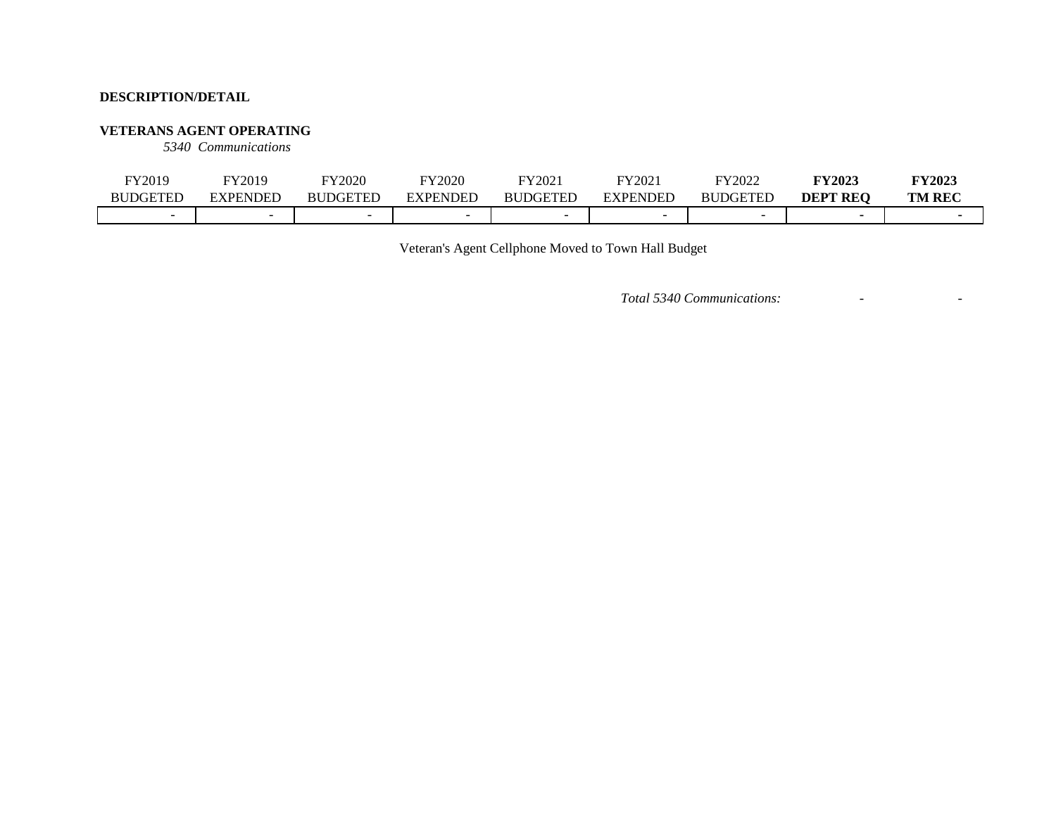#### **VETERANS AGENT OPERATING**

*5340 Communications*

| FY2019          | FY2019   | FY2020          | FY2020         | FY2021          | FY2021   | FY2022          | <b>FY2023</b>   | <b>FY2023</b> |
|-----------------|----------|-----------------|----------------|-----------------|----------|-----------------|-----------------|---------------|
| <b>BUDGETED</b> | EXPENDED | <b>BUDGETED</b> | <b>XPENDED</b> | <b>BUDGETED</b> | EXPENDED | <b>BUDGETED</b> | <b>DEPT REO</b> | <b>TM REC</b> |
|                 | -        |                 |                |                 |          |                 |                 |               |

Veteran's Agent Cellphone Moved to Town Hall Budget

*Total 5340 Communications:* - -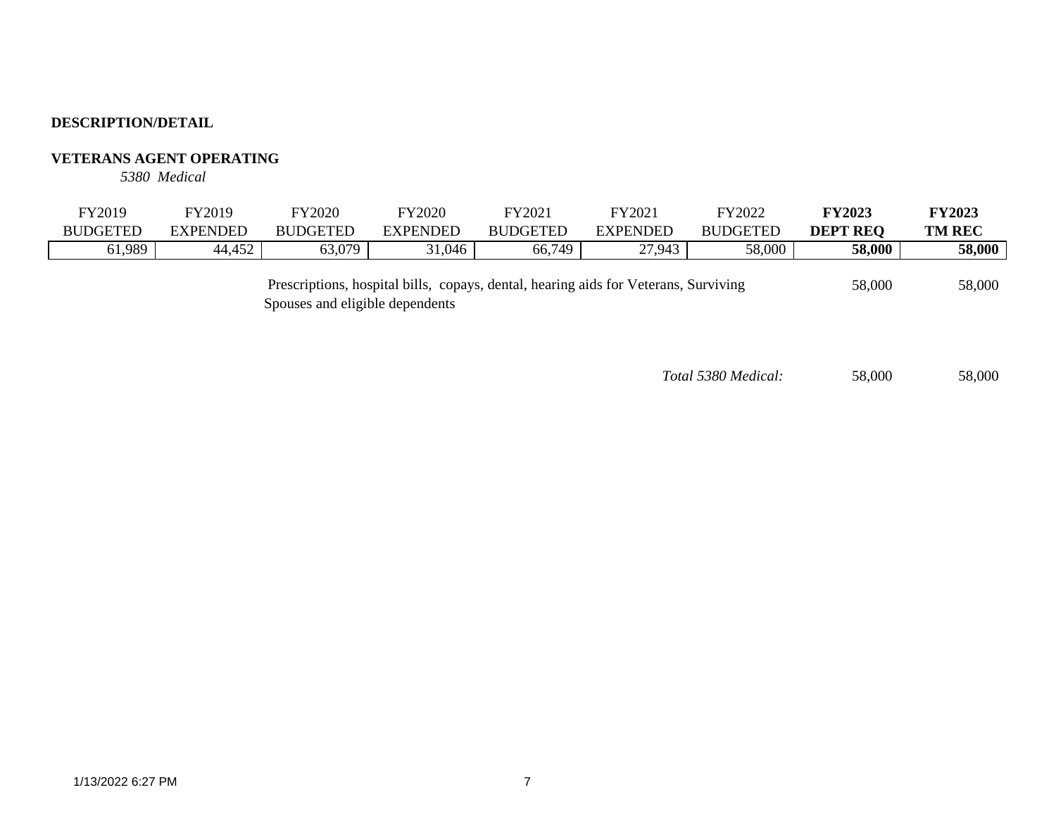# **VETERANS AGENT OPERATING**

*5380 Medical*

| <b>BUDGETED</b><br>' REC<br>$\cup$ ogeten<br>DGETEE<br>DEP<br>EXPENDED<br>EXPENDED<br><b>BUDGETED</b><br><b>FXPFNL</b><br>3 U H<br>ВI<br>58,000<br>0.989<br>58,000<br>152<br>63.070<br>66,749<br>,943<br>$\sim$<br>31,046<br>44,452<br>$0.0$ .<br>∼. | FY2019 | <sup>T</sup> Y2019 | FY2020 | FY2020 | FY202 | FY2021 | FY2022 | <b>FY2023</b> | <b>FY2023</b> |
|------------------------------------------------------------------------------------------------------------------------------------------------------------------------------------------------------------------------------------------------------|--------|--------------------|--------|--------|-------|--------|--------|---------------|---------------|
|                                                                                                                                                                                                                                                      |        |                    |        |        |       |        |        |               | <b>TM REC</b> |
|                                                                                                                                                                                                                                                      |        |                    |        |        |       |        |        |               | 58,000        |

 58,000 58,000 Prescriptions, hospital bills, copays, dental, hearing aids for Veterans, Surviving Spouses and eligible dependents

*Total 5380 Medical:* 58,000 58,000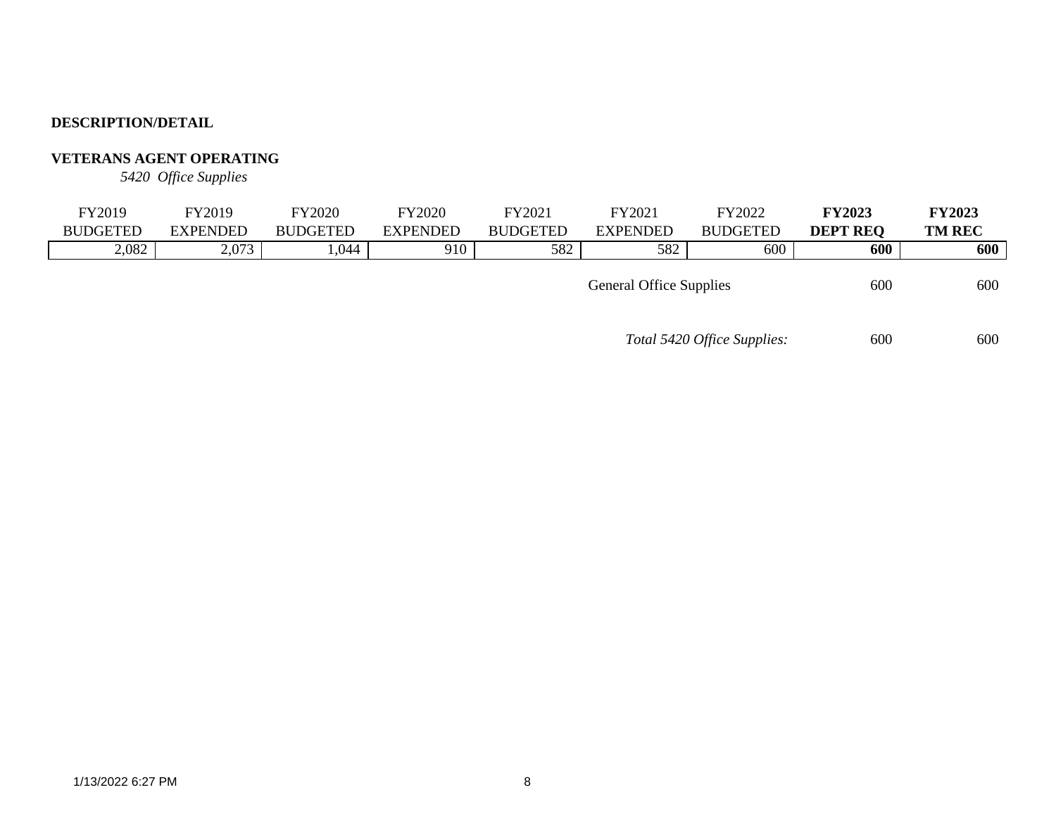# **VETERANS AGENT OPERATING**

*5420 Office Supplies*

| FY2019          | FY2019          | FY2020          | FY2020          | FY2021                                | FY2021          | FY2022          | <b>FY2023</b>   | <b>FY2023</b> |  |
|-----------------|-----------------|-----------------|-----------------|---------------------------------------|-----------------|-----------------|-----------------|---------------|--|
| <b>BUDGETED</b> | <b>EXPENDED</b> | <b>BUDGETED</b> | <b>EXPENDED</b> | <b>BUDGETED</b>                       | <b>EXPENDED</b> | <b>BUDGETED</b> | <b>DEPT REO</b> | <b>TM REC</b> |  |
| 2,082           | 2,073           | ,044            | 910             | 582                                   | 582             | 600             | 600             | 600           |  |
|                 |                 |                 |                 | 600<br><b>General Office Supplies</b> |                 |                 |                 |               |  |

*Total 5420 Office Supplies:* 600 600 600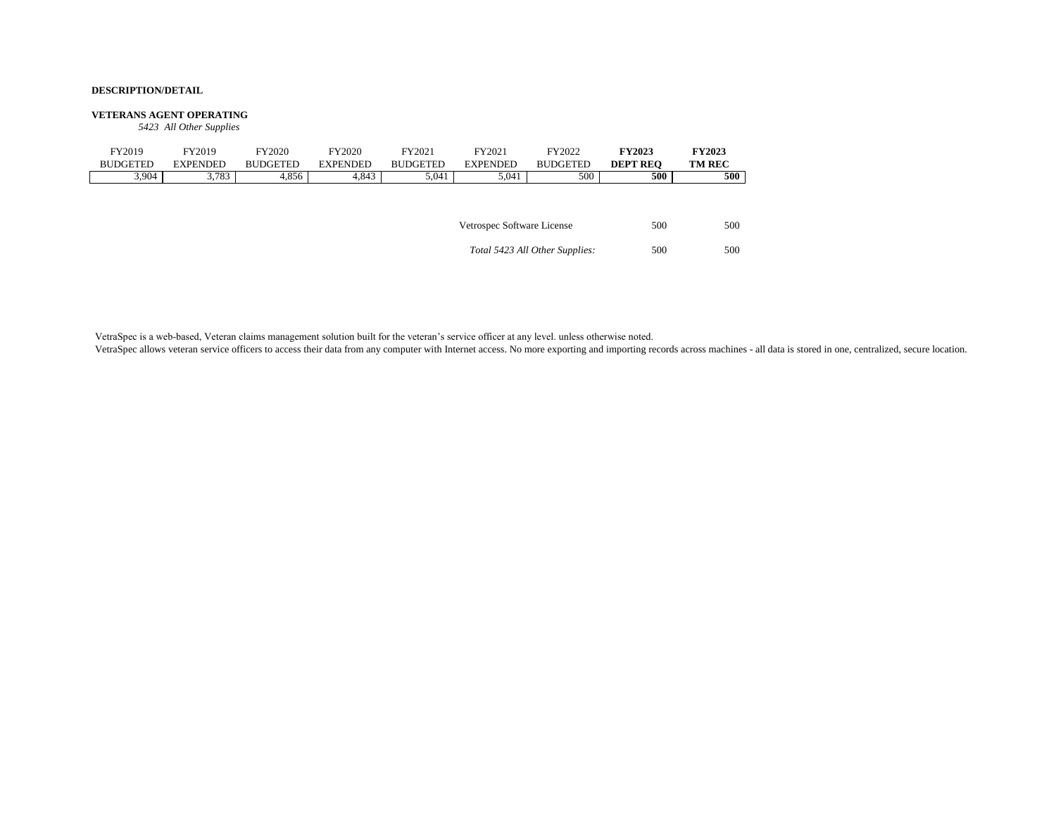#### **VETERANS AGENT OPERATING**

*5423 All Other Supplies*

| FY2019<br><b>BUDGETED</b> | FY2019<br><b>EXPENDED</b> | FY2020<br><b>BUDGETED</b> | <b>FY2020</b><br><b>EXPENDED</b> | FY2021<br><b>BUDGETED</b> | FY2021<br><b>EXPENDED</b>  | FY2022<br><b>BUDGETED</b>      | <b>FY2023</b><br><b>DEPT REO</b> | <b>FY2023</b><br><b>TM REC</b> |
|---------------------------|---------------------------|---------------------------|----------------------------------|---------------------------|----------------------------|--------------------------------|----------------------------------|--------------------------------|
| 3,904                     | 3,783                     | 4,856                     | 4,843                            | 5,041                     | 5,041                      | 500                            | 500                              | 500                            |
|                           |                           |                           |                                  |                           |                            |                                |                                  |                                |
|                           |                           |                           |                                  |                           | Vetrospec Software License |                                | 500                              | 500                            |
|                           |                           |                           |                                  |                           |                            | Total 5423 All Other Supplies: | 500                              | 500                            |

VetraSpec is a web-based, Veteran claims management solution built for the veteran's service officer at any level. unless otherwise noted.

VetraSpec allows veteran service officers to access their data from any computer with Internet access. No more exporting and importing records across machines - all data is stored in one, centralized, secure location.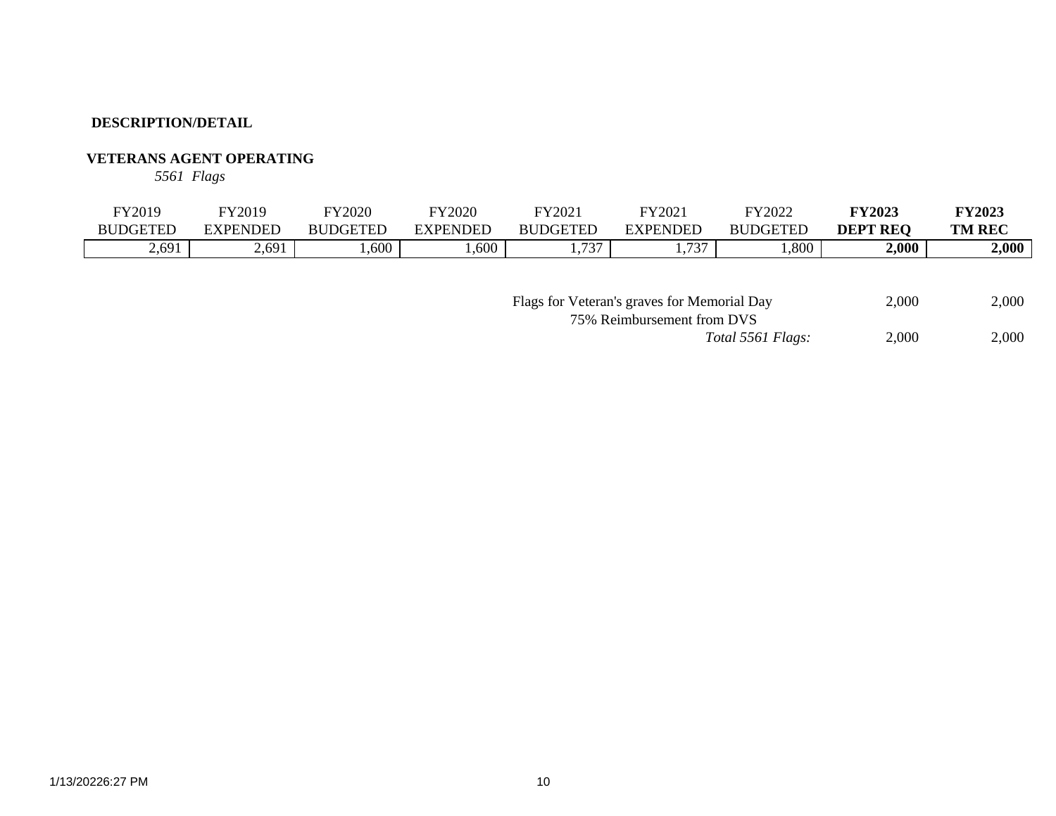# **VETERANS AGENT OPERATING**

*5561 Flags*

| $\nabla$ $\mathbf{Y}$ 2019 | FY2019          | FY2020          | <b>FY2020</b> | FY202.                        | FY2021              | FY2022          | <b>FY2023</b>   | <b>FY2023</b> |
|----------------------------|-----------------|-----------------|---------------|-------------------------------|---------------------|-----------------|-----------------|---------------|
| <b>BUDGETED</b>            | <b>EXPENDED</b> | <b>BUDGETED</b> | EXPENDED      | <b>BUDGETED</b>               | EXPENDED            | <b>BUDGETED</b> | <b>DEPT REO</b> | <b>TM REC</b> |
| 2,691                      | 2,691           | .600            | ,600          | $\overline{\phantom{a}}$<br>ຼ | $\overline{a}$<br>◡ | ,800            | 2,000           | 2,000         |

| Flags for Veteran's graves for Memorial Day |                   | 2.000 | 2,000 |
|---------------------------------------------|-------------------|-------|-------|
| 75% Reimbursement from DVS                  |                   |       |       |
|                                             | Total 5561 Flags: | 2.000 | 2,000 |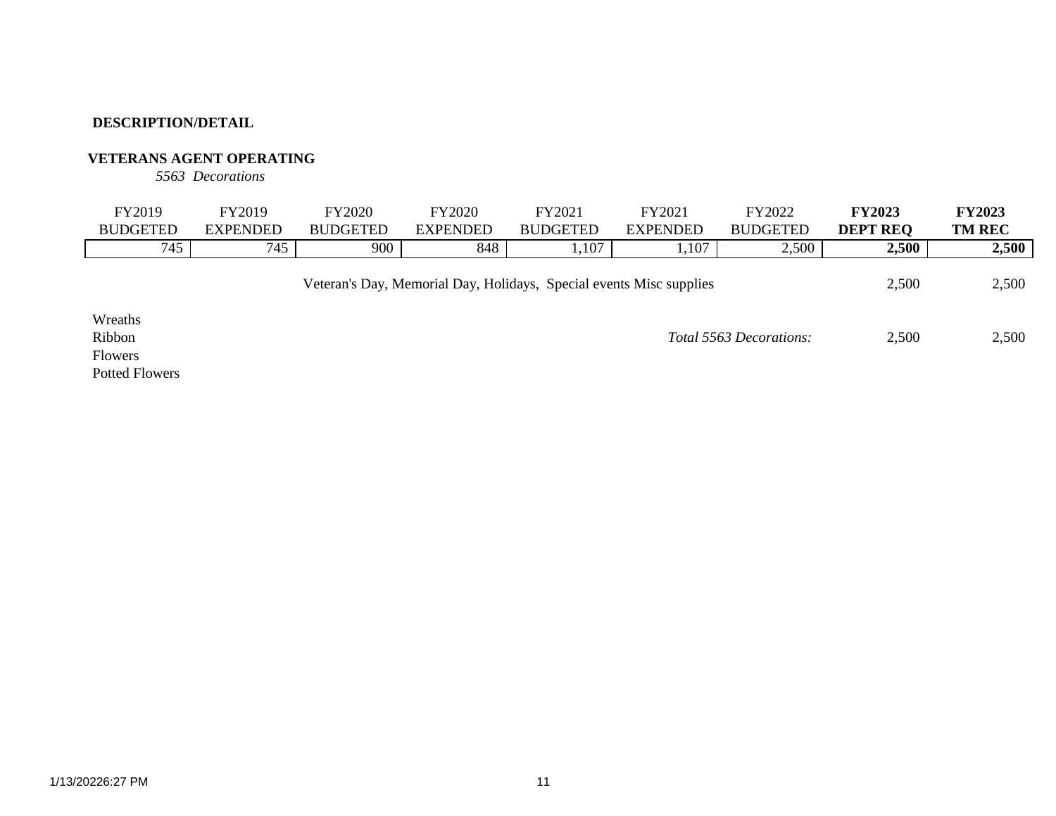# **VETERANS AGENT OPERATING**

*5563 Decorations*

| FY2019          | FY2019          | <b>FY2020</b>   | <b>FY2020</b> | FY2021          | FY2021          | Y2022           | <b>FY2023</b>   | <b>FY2023</b> |
|-----------------|-----------------|-----------------|---------------|-----------------|-----------------|-----------------|-----------------|---------------|
| <b>BUDGETED</b> | <b>EXPENDED</b> | <b>BUDGETED</b> | EXPENDED      | <b>BUDGETED</b> | <b>EXPENDED</b> | <b>BUDGETED</b> | <b>DEPT REO</b> | <b>TM REC</b> |
| 745             | 745             | 900             | 848           | 1,107           | 1,107           | 2,500           | 2,500           | 2,500         |
|                 |                 |                 |               |                 |                 |                 |                 |               |

Veteran's Day, Memorial Day, Holidays, Special events Misc supplies 2,500 2,500

Wreaths Flowers Potted Flowers

Ribbon 2,500 2,500 *Total 5563 Decorations:*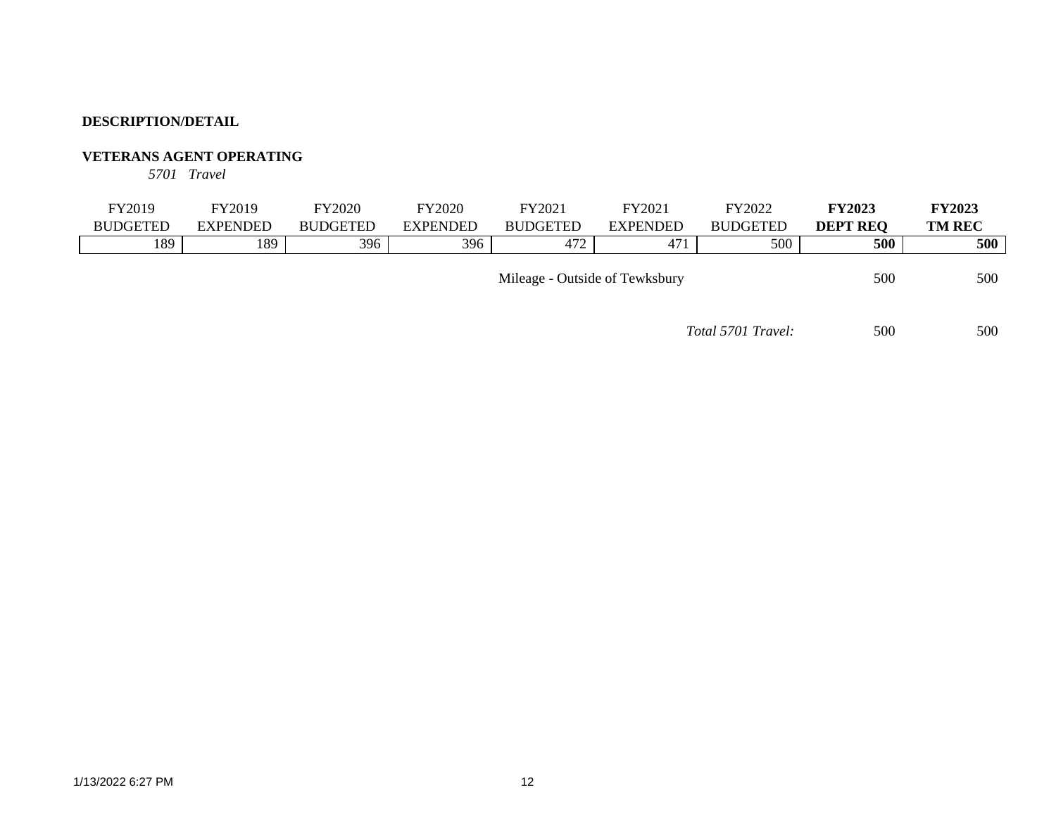### **VETERANS AGENT OPERATING**

*5701 Travel*

| FY2019          | FY2019                                | FY2020          | <b>FY2020</b>   | FY2021          | FY2021          | FY2022          | <b>FY2023</b>   | <b>FY2023</b> |
|-----------------|---------------------------------------|-----------------|-----------------|-----------------|-----------------|-----------------|-----------------|---------------|
| <b>BUDGETED</b> | <b>EXPENDED</b>                       | <b>BUDGETED</b> | <b>EXPENDED</b> | <b>BUDGETED</b> | <b>EXPENDED</b> | <b>BUDGETED</b> | <b>DEPT REO</b> | <b>TM REC</b> |
| 189             | 189                                   | 396             | 396             | 472             | 471             | 500             | 500             | 500           |
|                 |                                       |                 |                 |                 |                 |                 |                 |               |
|                 | 500<br>Mileage - Outside of Tewksbury |                 |                 |                 |                 |                 | 500             |               |

*Total 5701 Travel:* 500 500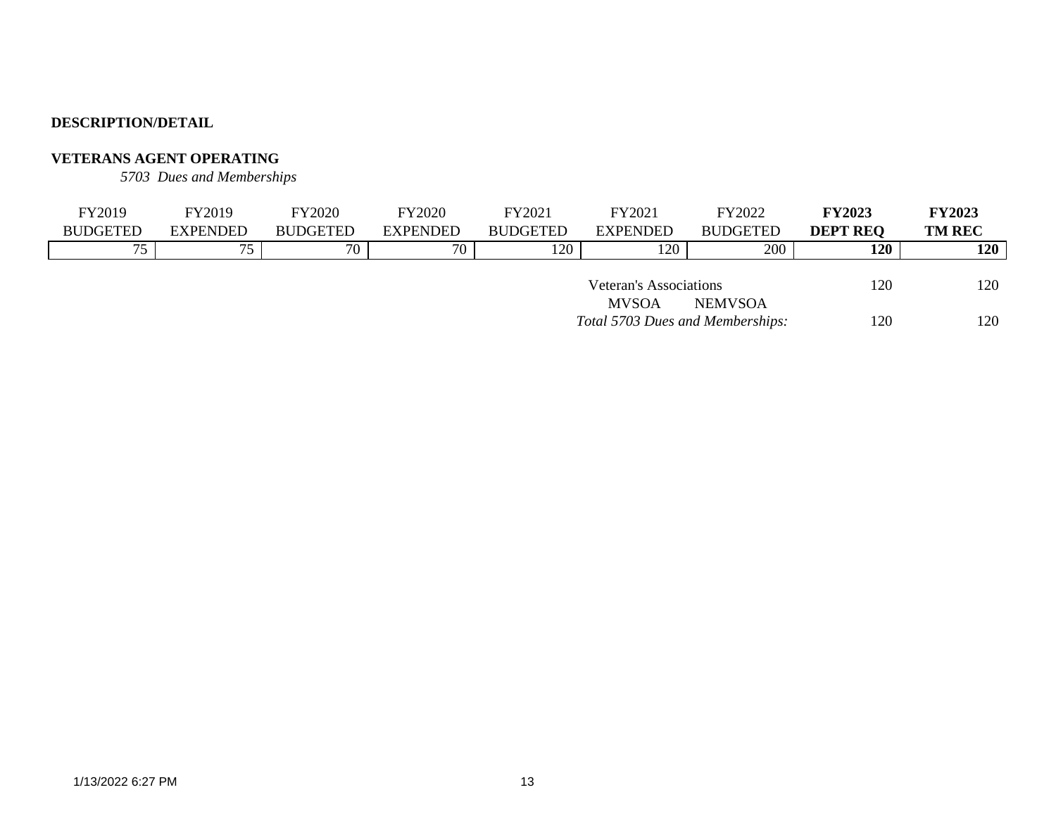# **VETERANS AGENT OPERATING**

*5703 Dues and Memberships*

| FY2019                 | FY2019          | <b>FY2020</b>   | <b>FY2020</b>   | FY2021          | FY2021                           | FY2022          | <b>FY2023</b>   | <b>FY2023</b> |
|------------------------|-----------------|-----------------|-----------------|-----------------|----------------------------------|-----------------|-----------------|---------------|
| <b>BUDGETED</b>        | <b>EXPENDED</b> | <b>BUDGETED</b> | <b>EXPENDED</b> | <b>BUDGETED</b> | EXPENDED                         | <b>BUDGETED</b> | <b>DEPT REQ</b> | <b>TM REC</b> |
| 75                     | 75              | 70              | 70              | 120             | 120                              | 200             | 120             | 120           |
|                        |                 |                 |                 |                 |                                  |                 |                 |               |
| Veteran's Associations |                 |                 |                 |                 |                                  | 120             | 120             |               |
|                        |                 |                 |                 |                 | <b>MVSOA</b>                     | <b>NEMVSOA</b>  |                 |               |
|                        |                 |                 |                 |                 | Total 5703 Dues and Memberships: |                 | 120             | 120           |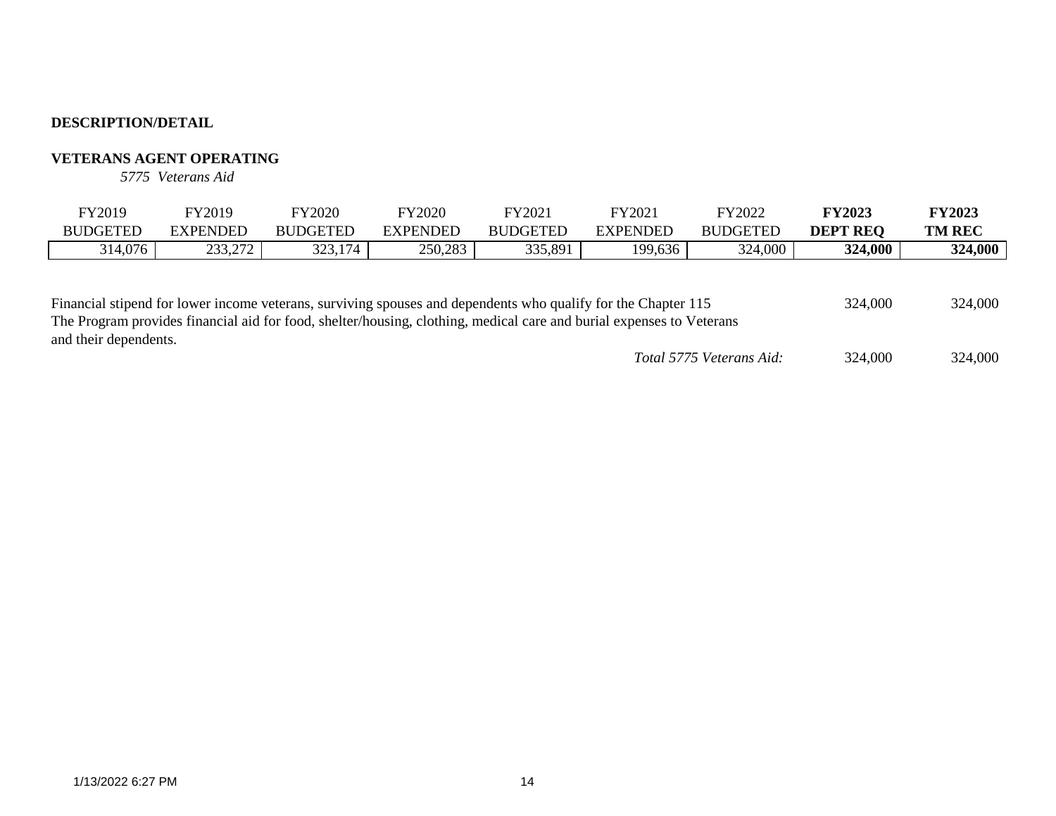# **VETERANS AGENT OPERATING**

*5775 Veterans Aid*

| $\nabla$ Y2019  | FY2019                   | FY2020          | FY2020   | FY2021          | FY2021          | FY2022          | <b>FY2023</b>   | <b>FY2023</b> |
|-----------------|--------------------------|-----------------|----------|-----------------|-----------------|-----------------|-----------------|---------------|
| <b>BUDGETED</b> | <b>EXPENDED</b>          | <b>BUDGETED</b> | EXPENDED | <b>BUDGETED</b> | <b>EXPENDED</b> | <b>BUDGETED</b> | <b>DEPT REO</b> | <b>TM REC</b> |
| 314,076         | 222.27<br><i>–––––––</i> | 323,174         | 250,283  | 335,891         | 199,636         | 324,000         | 324,000         | 324,000       |
|                 |                          |                 |          |                 |                 |                 |                 |               |

| Financial stipend for lower income veterans, surviving spouses and dependents who qualify for the Chapter 115        | 324,000                  | 324,000 |         |
|----------------------------------------------------------------------------------------------------------------------|--------------------------|---------|---------|
| The Program provides financial aid for food, shelter/housing, clothing, medical care and burial expenses to Veterans |                          |         |         |
| and their dependents.                                                                                                |                          |         |         |
|                                                                                                                      | Total 5775 Veterans Aid: | 324,000 | 324,000 |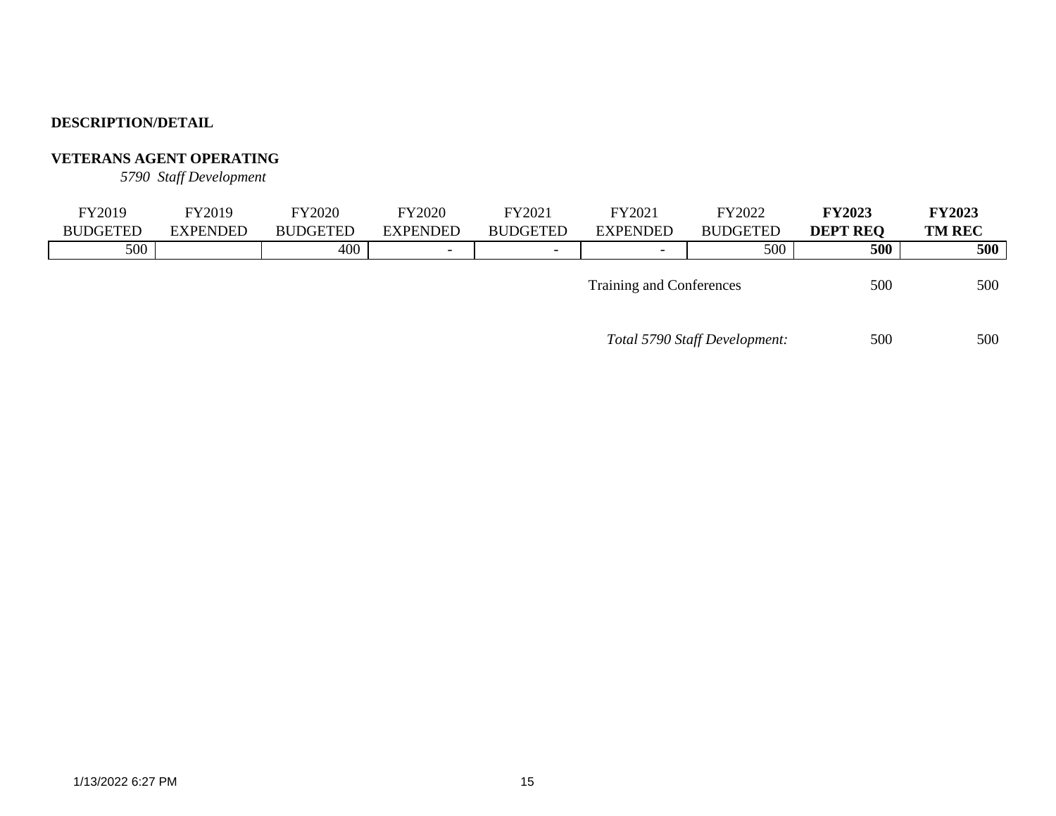# **VETERANS AGENT OPERATING**

*5790 Staff Development*

| FY2019          | FY2019          | FY2020          | FY2020          | FY2021          | FY2021                   | FY2022          | <b>FY2023</b>   | <b>FY2023</b> |
|-----------------|-----------------|-----------------|-----------------|-----------------|--------------------------|-----------------|-----------------|---------------|
| <b>BUDGETED</b> | <b>EXPENDED</b> | <b>BUDGETED</b> | <b>EXPENDED</b> | <b>BUDGETED</b> | <b>EXPENDED</b>          | <b>BUDGETED</b> | <b>DEPT REO</b> | <b>TM REC</b> |
| 500             |                 | 400             | -               |                 | $\overline{\phantom{0}}$ | 500             | 500             | 500           |
|                 |                 |                 |                 |                 | Training and Conferences |                 | 500             | 500           |

*Total 5790 Staff Development:* 500 500